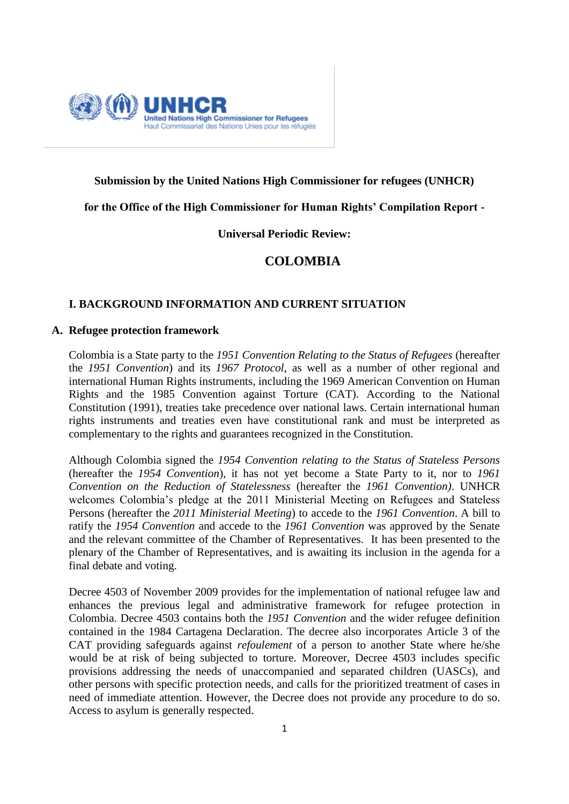

# **Submission by the United Nations High Commissioner for refugees (UNHCR)**

**for the Office of the High Commissioner for Human Rights' Compilation Report -**

# **Universal Periodic Review:**

# **COLOMBIA**

## **I. BACKGROUND INFORMATION AND CURRENT SITUATION**

## **A. Refugee protection framework**

Colombia is a State party to the *1951 Convention Relating to the Status of Refugees* (hereafter the *1951 Convention*) and its *1967 Protocol*, as well as a number of other regional and international Human Rights instruments, including the 1969 American Convention on Human Rights and the 1985 Convention against Torture (CAT). According to the National Constitution (1991), treaties take precedence over national laws. Certain international human rights instruments and treaties even have constitutional rank and must be interpreted as complementary to the rights and guarantees recognized in the Constitution.

Although Colombia signed the *1954 Convention relating to the Status of Stateless Persons*  (hereafter the *1954 Convention*), it has not yet become a State Party to it, nor to *1961 Convention on the Reduction of Statelessness* (hereafter the *1961 Convention)*. UNHCR welcomes Colombia's pledge at the 2011 Ministerial Meeting on Refugees and Stateless Persons (hereafter the *2011 Ministerial Meeting*) to accede to the *1961 Convention*. A bill to ratify the *1954 Convention* and accede to the *1961 Convention* was approved by the Senate and the relevant committee of the Chamber of Representatives. It has been presented to the plenary of the Chamber of Representatives, and is awaiting its inclusion in the agenda for a final debate and voting.

Decree 4503 of November 2009 provides for the implementation of national refugee law and enhances the previous legal and administrative framework for refugee protection in Colombia. Decree 4503 contains both the *1951 Convention* and the wider refugee definition contained in the 1984 Cartagena Declaration. The decree also incorporates Article 3 of the CAT providing safeguards against *refoulement* of a person to another State where he/she would be at risk of being subjected to torture. Moreover, Decree 4503 includes specific provisions addressing the needs of unaccompanied and separated children (UASCs), and other persons with specific protection needs, and calls for the prioritized treatment of cases in need of immediate attention. However, the Decree does not provide any procedure to do so. Access to asylum is generally respected.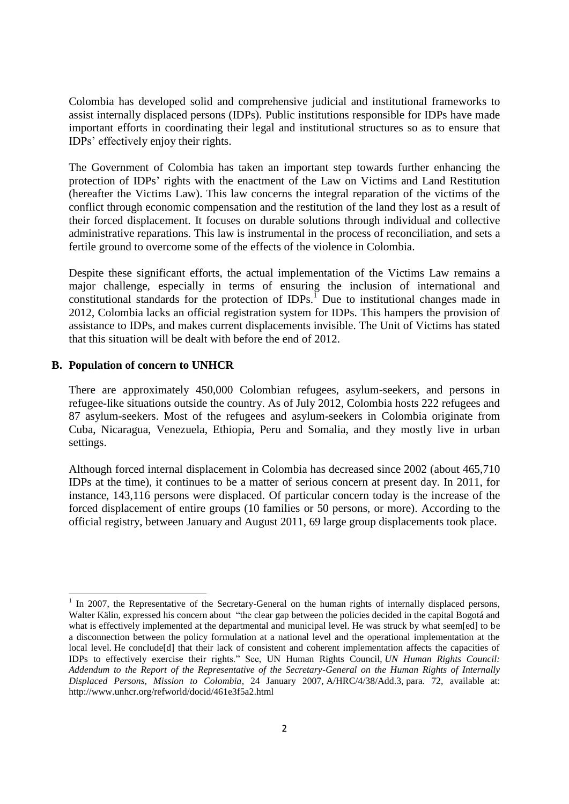Colombia has developed solid and comprehensive judicial and institutional frameworks to assist internally displaced persons (IDPs). Public institutions responsible for IDPs have made important efforts in coordinating their legal and institutional structures so as to ensure that IDPs' effectively enjoy their rights.

The Government of Colombia has taken an important step towards further enhancing the protection of IDPs' rights with the enactment of the Law on Victims and Land Restitution (hereafter the Victims Law). This law concerns the integral reparation of the victims of the conflict through economic compensation and the restitution of the land they lost as a result of their forced displacement. It focuses on durable solutions through individual and collective administrative reparations. This law is instrumental in the process of reconciliation, and sets a fertile ground to overcome some of the effects of the violence in Colombia.

Despite these significant efforts, the actual implementation of the Victims Law remains a major challenge, especially in terms of ensuring the inclusion of international and constitutional standards for the protection of IDPs.<sup> $\overline{1}$ </sup> Due to institutional changes made in 2012, Colombia lacks an official registration system for IDPs. This hampers the provision of assistance to IDPs, and makes current displacements invisible. The Unit of Victims has stated that this situation will be dealt with before the end of 2012.

### **B. Population of concern to UNHCR**

There are approximately 450,000 Colombian refugees, asylum-seekers, and persons in refugee-like situations outside the country. As of July 2012, Colombia hosts 222 refugees and 87 asylum-seekers. Most of the refugees and asylum-seekers in Colombia originate from Cuba, Nicaragua, Venezuela, Ethiopia, Peru and Somalia, and they mostly live in urban settings.

Although forced internal displacement in Colombia has decreased since 2002 (about 465,710 IDPs at the time), it continues to be a matter of serious concern at present day. In 2011, for instance, 143,116 persons were displaced. Of particular concern today is the increase of the forced displacement of entire groups (10 families or 50 persons, or more). According to the official registry, between January and August 2011, 69 large group displacements took place.

<sup>&</sup>lt;sup>1</sup> In 2007, the Representative of the Secretary-General on the human rights of internally displaced persons, Walter Kälin, expressed his concern about "the clear gap between the policies decided in the capital Bogotá and what is effectively implemented at the departmental and municipal level. He was struck by what seem[ed] to be a disconnection between the policy formulation at a national level and the operational implementation at the local level. He conclude[d] that their lack of consistent and coherent implementation affects the capacities of IDPs to effectively exercise their rights." See, UN Human Rights Council, *UN Human Rights Council: Addendum to the Report of the Representative of the Secretary-General on the Human Rights of Internally Displaced Persons, Mission to Colombia*, 24 January 2007, A/HRC/4/38/Add.3, para. 72, available at: http://www.unhcr.org/refworld/docid/461e3f5a2.html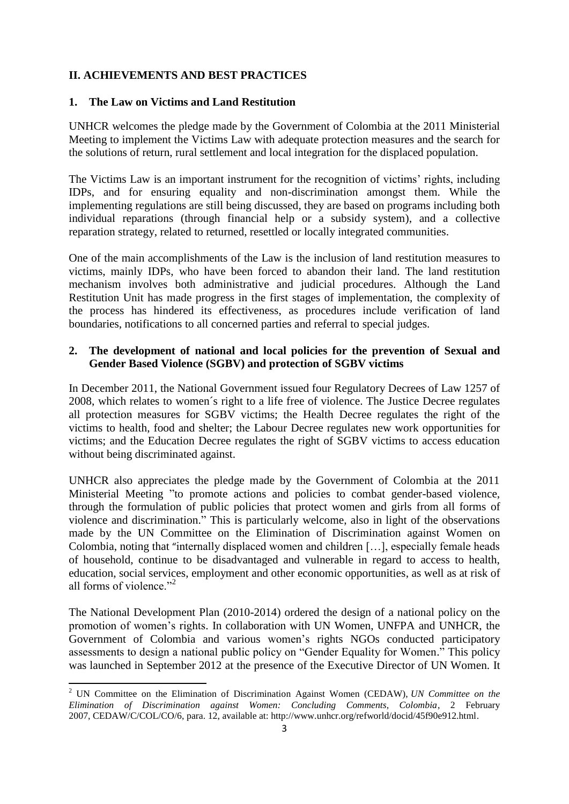# **II. ACHIEVEMENTS AND BEST PRACTICES**

## **1. The Law on Victims and Land Restitution**

UNHCR welcomes the pledge made by the Government of Colombia at the 2011 Ministerial Meeting to implement the Victims Law with adequate protection measures and the search for the solutions of return, rural settlement and local integration for the displaced population.

The Victims Law is an important instrument for the recognition of victims' rights, including IDPs, and for ensuring equality and non-discrimination amongst them. While the implementing regulations are still being discussed, they are based on programs including both individual reparations (through financial help or a subsidy system), and a collective reparation strategy, related to returned, resettled or locally integrated communities.

One of the main accomplishments of the Law is the inclusion of land restitution measures to victims, mainly IDPs, who have been forced to abandon their land. The land restitution mechanism involves both administrative and judicial procedures. Although the Land Restitution Unit has made progress in the first stages of implementation, the complexity of the process has hindered its effectiveness, as procedures include verification of land boundaries, notifications to all concerned parties and referral to special judges.

# **2. The development of national and local policies for the prevention of Sexual and Gender Based Violence (SGBV) and protection of SGBV victims**

In December 2011, the National Government issued four Regulatory Decrees of Law 1257 of 2008, which relates to women´s right to a life free of violence. The Justice Decree regulates all protection measures for SGBV victims; the Health Decree regulates the right of the victims to health, food and shelter; the Labour Decree regulates new work opportunities for victims; and the Education Decree regulates the right of SGBV victims to access education without being discriminated against.

UNHCR also appreciates the pledge made by the Government of Colombia at the 2011 Ministerial Meeting "to promote actions and policies to combat gender-based violence, through the formulation of public policies that protect women and girls from all forms of violence and discrimination." This is particularly welcome, also in light of the observations made by the UN Committee on the Elimination of Discrimination against Women on Colombia, noting that "internally displaced women and children […], especially female heads of household, continue to be disadvantaged and vulnerable in regard to access to health, education, social services, employment and other economic opportunities, as well as at risk of all forms of violence."<sup>2</sup>

The National Development Plan (2010-2014) ordered the design of a national policy on the promotion of women's rights. In collaboration with UN Women, UNFPA and UNHCR, the Government of Colombia and various women's rights NGOs conducted participatory assessments to design a national public policy on "Gender Equality for Women." This policy was launched in September 2012 at the presence of the Executive Director of UN Women. It

**.** 

<sup>2</sup> UN Committee on the Elimination of Discrimination Against Women (CEDAW), *UN Committee on the Elimination of Discrimination against Women: Concluding Comments, Colombia*, 2 February 2007, CEDAW/C/COL/CO/6, para. 12, available at: http://www.unhcr.org/refworld/docid/45f90e912.html.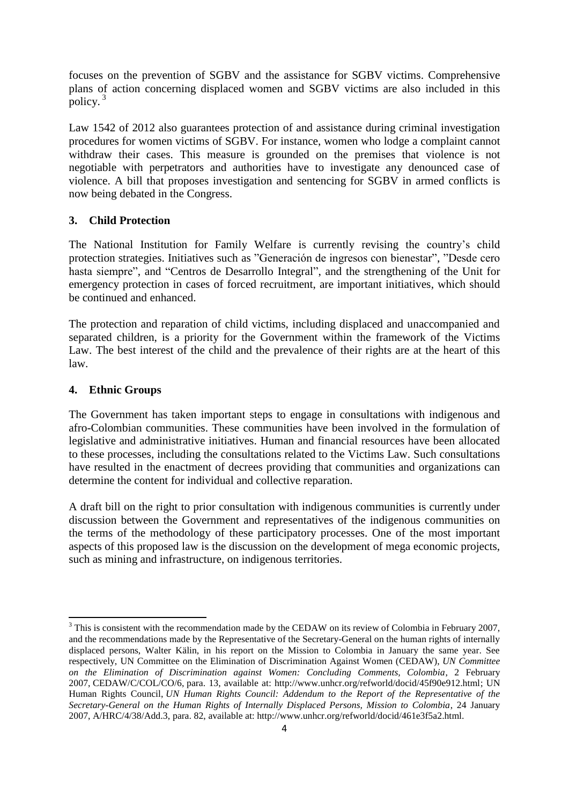focuses on the prevention of SGBV and the assistance for SGBV victims. Comprehensive plans of action concerning displaced women and SGBV victims are also included in this policy.<sup>3</sup>

Law 1542 of 2012 also guarantees protection of and assistance during criminal investigation procedures for women victims of SGBV. For instance, women who lodge a complaint cannot withdraw their cases. This measure is grounded on the premises that violence is not negotiable with perpetrators and authorities have to investigate any denounced case of violence. A bill that proposes investigation and sentencing for SGBV in armed conflicts is now being debated in the Congress.

# **3. Child Protection**

The National Institution for Family Welfare is currently revising the country's child protection strategies. Initiatives such as "Generación de ingresos con bienestar", "Desde cero hasta siempre", and "Centros de Desarrollo Integral", and the strengthening of the Unit for emergency protection in cases of forced recruitment, are important initiatives, which should be continued and enhanced.

The protection and reparation of child victims, including displaced and unaccompanied and separated children, is a priority for the Government within the framework of the Victims Law. The best interest of the child and the prevalence of their rights are at the heart of this law.

# **4. Ethnic Groups**

The Government has taken important steps to engage in consultations with indigenous and afro-Colombian communities. These communities have been involved in the formulation of legislative and administrative initiatives. Human and financial resources have been allocated to these processes, including the consultations related to the Victims Law. Such consultations have resulted in the enactment of decrees providing that communities and organizations can determine the content for individual and collective reparation.

A draft bill on the right to prior consultation with indigenous communities is currently under discussion between the Government and representatives of the indigenous communities on the terms of the methodology of these participatory processes. One of the most important aspects of this proposed law is the discussion on the development of mega economic projects, such as mining and infrastructure, on indigenous territories.

**<sup>.</sup>** <sup>3</sup> This is consistent with the recommendation made by the CEDAW on its review of Colombia in February 2007, and the recommendations made by the Representative of the Secretary-General on the human rights of internally displaced persons, Walter Kälin, in his report on the Mission to Colombia in January the same year. See respectively, UN Committee on the Elimination of Discrimination Against Women (CEDAW), *UN Committee on the Elimination of Discrimination against Women: Concluding Comments, Colombia*, 2 February 2007, CEDAW/C/COL/CO/6, para. 13, available at: http://www.unhcr.org/refworld/docid/45f90e912.html; UN Human Rights Council, *UN Human Rights Council: Addendum to the Report of the Representative of the Secretary-General on the Human Rights of Internally Displaced Persons, Mission to Colombia*, 24 January 2007, A/HRC/4/38/Add.3, para. 82, available at: http://www.unhcr.org/refworld/docid/461e3f5a2.html.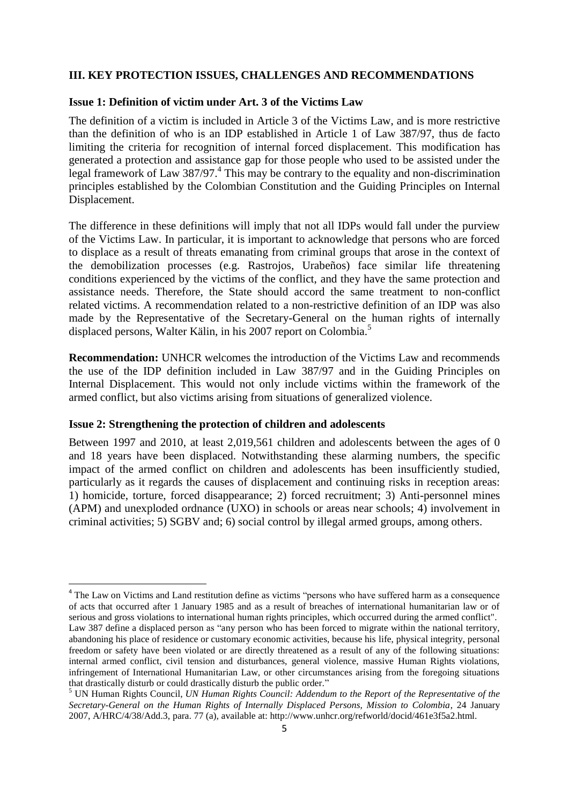## **III. KEY PROTECTION ISSUES, CHALLENGES AND RECOMMENDATIONS**

## **Issue 1: Definition of victim under Art. 3 of the Victims Law**

The definition of a victim is included in Article 3 of the Victims Law, and is more restrictive than the definition of who is an IDP established in Article 1 of Law 387/97, thus de facto limiting the criteria for recognition of internal forced displacement. This modification has generated a protection and assistance gap for those people who used to be assisted under the legal framework of Law 387/97.<sup>4</sup> This may be contrary to the equality and non-discrimination principles established by the Colombian Constitution and the Guiding Principles on Internal Displacement.

The difference in these definitions will imply that not all IDPs would fall under the purview of the Victims Law. In particular, it is important to acknowledge that persons who are forced to displace as a result of threats emanating from criminal groups that arose in the context of the demobilization processes (e.g. Rastrojos, Urabeños) face similar life threatening conditions experienced by the victims of the conflict, and they have the same protection and assistance needs. Therefore, the State should accord the same treatment to non-conflict related victims. A recommendation related to a non-restrictive definition of an IDP was also made by the Representative of the Secretary-General on the human rights of internally displaced persons, Walter Kälin, in his 2007 report on Colombia.<sup>5</sup>

**Recommendation:** UNHCR welcomes the introduction of the Victims Law and recommends the use of the IDP definition included in Law 387/97 and in the Guiding Principles on Internal Displacement. This would not only include victims within the framework of the armed conflict, but also victims arising from situations of generalized violence.

## **Issue 2: Strengthening the protection of children and adolescents**

1

Between 1997 and 2010, at least 2,019,561 children and adolescents between the ages of 0 and 18 years have been displaced. Notwithstanding these alarming numbers, the specific impact of the armed conflict on children and adolescents has been insufficiently studied, particularly as it regards the causes of displacement and continuing risks in reception areas: 1) homicide, torture, forced disappearance; 2) forced recruitment; 3) Anti-personnel mines (APM) and unexploded ordnance (UXO) in schools or areas near schools; 4) involvement in criminal activities; 5) SGBV and; 6) social control by illegal armed groups, among others.

<sup>&</sup>lt;sup>4</sup> The Law on Victims and Land restitution define as victims "persons who have suffered harm as a consequence of acts that occurred after 1 January 1985 and as a result of breaches of international humanitarian law or of serious and gross violations to international human rights principles, which occurred during the armed conflict". Law 387 define a displaced person as "any person who has been forced to migrate within the national territory, abandoning his place of residence or customary economic activities, because his life, physical integrity, personal freedom or safety have been violated or are directly threatened as a result of any of the following situations: internal armed conflict, civil tension and disturbances, general violence, massive Human Rights violations, infringement of International Humanitarian Law, or other circumstances arising from the foregoing situations that drastically disturb or could drastically disturb the public order."

<sup>5</sup> UN Human Rights Council, *UN Human Rights Council: Addendum to the Report of the Representative of the Secretary-General on the Human Rights of Internally Displaced Persons, Mission to Colombia*, 24 January 2007, A/HRC/4/38/Add.3, para. 77 (a), available at: http://www.unhcr.org/refworld/docid/461e3f5a2.html.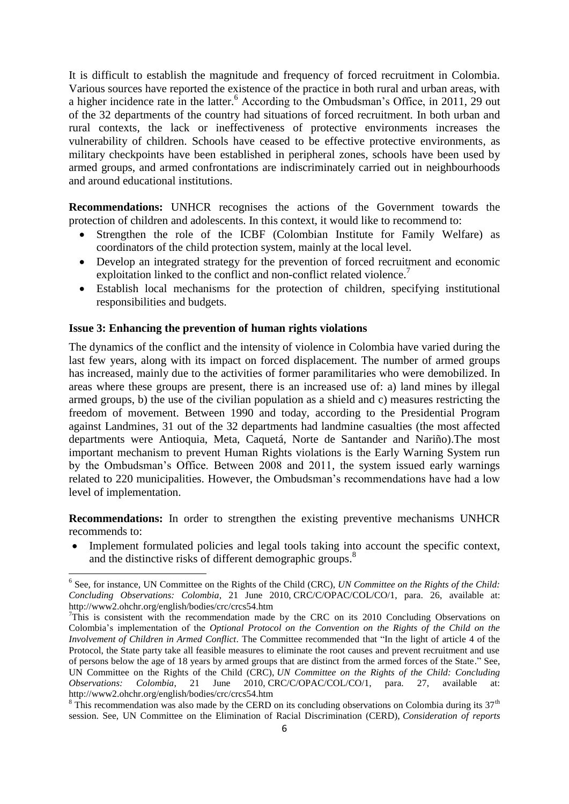It is difficult to establish the magnitude and frequency of forced recruitment in Colombia. Various sources have reported the existence of the practice in both rural and urban areas, with a higher incidence rate in the latter.<sup>6</sup> According to the Ombudsman's Office, in 2011, 29 out of the 32 departments of the country had situations of forced recruitment. In both urban and rural contexts, the lack or ineffectiveness of protective environments increases the vulnerability of children. Schools have ceased to be effective protective environments, as military checkpoints have been established in peripheral zones, schools have been used by armed groups, and armed confrontations are indiscriminately carried out in neighbourhoods and around educational institutions.

**Recommendations:** UNHCR recognises the actions of the Government towards the protection of children and adolescents. In this context, it would like to recommend to:

- Strengthen the role of the ICBF (Colombian Institute for Family Welfare) as coordinators of the child protection system, mainly at the local level.
- Develop an integrated strategy for the prevention of forced recruitment and economic exploitation linked to the conflict and non-conflict related violence.<sup>7</sup>
- Establish local mechanisms for the protection of children, specifying institutional responsibilities and budgets.

### **Issue 3: Enhancing the prevention of human rights violations**

1

The dynamics of the conflict and the intensity of violence in Colombia have varied during the last few years, along with its impact on forced displacement. The number of armed groups has increased, mainly due to the activities of former paramilitaries who were demobilized. In areas where these groups are present, there is an increased use of: a) land mines by illegal armed groups, b) the use of the civilian population as a shield and c) measures restricting the freedom of movement. Between 1990 and today, according to the Presidential Program against Landmines, 31 out of the 32 departments had landmine casualties (the most affected departments were Antioquia, Meta, Caquetá, Norte de Santander and Nariño).The most important mechanism to prevent Human Rights violations is the Early Warning System run by the Ombudsman's Office. Between 2008 and 2011, the system issued early warnings related to 220 municipalities. However, the Ombudsman's recommendations have had a low level of implementation.

**Recommendations:** In order to strengthen the existing preventive mechanisms UNHCR recommends to:

 Implement formulated policies and legal tools taking into account the specific context, and the distinctive risks of different demographic groups.<sup>8</sup>

<sup>&</sup>lt;sup>6</sup> See, for instance, UN Committee on the Rights of the Child (CRC), *UN Committee on the Rights of the Child: Concluding Observations: Colombia*, 21 June 2010, CRC/C/OPAC/COL/CO/1, para. 26, available at: http://www2.ohchr.org/english/bodies/crc/crcs54.htm

 $7$ This is consistent with the recommendation made by the CRC on its 2010 Concluding Observations on Colombia's implementation of the *Optional Protocol on the Convention on the Rights of the Child on the Involvement of Children in Armed Conflict*. The Committee recommended that "In the light of article 4 of the Protocol, the State party take all feasible measures to eliminate the root causes and prevent recruitment and use of persons below the age of 18 years by armed groups that are distinct from the armed forces of the State." See, UN Committee on the Rights of the Child (CRC), *UN Committee on the Rights of the Child: Concluding Observations: Colombia*, 21 June 2010, CRC/C/OPAC/COL/CO/1, para. 27, available at: http://www2.ohchr.org/english/bodies/crc/crcs54.htm

 $8$  This recommendation was also made by the CERD on its concluding observations on Colombia during its  $37<sup>th</sup>$ session. See, UN Committee on the Elimination of Racial Discrimination (CERD), *Consideration of reports*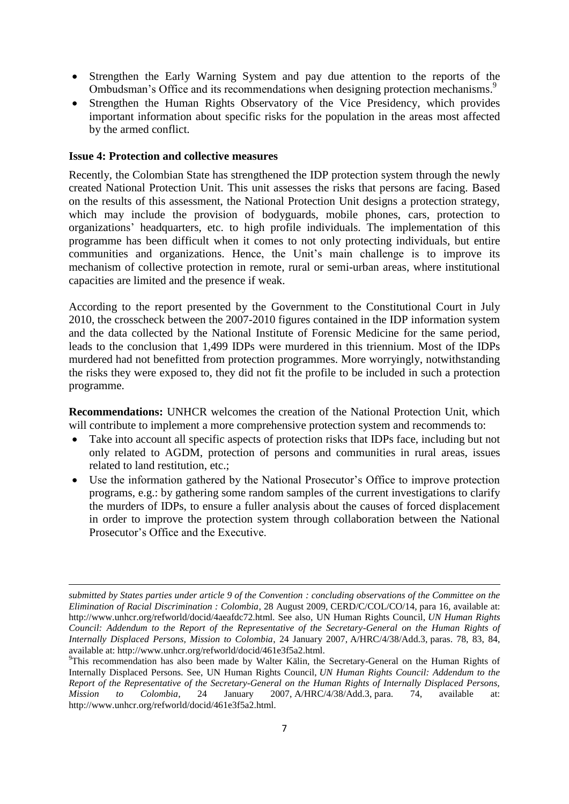- Strengthen the Early Warning System and pay due attention to the reports of the Ombudsman's Office and its recommendations when designing protection mechanisms.<sup>9</sup>
- Strengthen the Human Rights Observatory of the Vice Presidency, which provides important information about specific risks for the population in the areas most affected by the armed conflict.

## **Issue 4: Protection and collective measures**

**.** 

Recently, the Colombian State has strengthened the IDP protection system through the newly created National Protection Unit. This unit assesses the risks that persons are facing. Based on the results of this assessment, the National Protection Unit designs a protection strategy, which may include the provision of bodyguards, mobile phones, cars, protection to organizations' headquarters, etc. to high profile individuals. The implementation of this programme has been difficult when it comes to not only protecting individuals, but entire communities and organizations. Hence, the Unit's main challenge is to improve its mechanism of collective protection in remote, rural or semi-urban areas, where institutional capacities are limited and the presence if weak.

According to the report presented by the Government to the Constitutional Court in July 2010, the crosscheck between the 2007-2010 figures contained in the IDP information system and the data collected by the National Institute of Forensic Medicine for the same period, leads to the conclusion that 1,499 IDPs were murdered in this triennium. Most of the IDPs murdered had not benefitted from protection programmes. More worryingly, notwithstanding the risks they were exposed to, they did not fit the profile to be included in such a protection programme.

**Recommendations:** UNHCR welcomes the creation of the National Protection Unit, which will contribute to implement a more comprehensive protection system and recommends to:

- Take into account all specific aspects of protection risks that IDPs face, including but not only related to AGDM, protection of persons and communities in rural areas, issues related to land restitution, etc.;
- Use the information gathered by the National Prosecutor's Office to improve protection programs, e.g.: by gathering some random samples of the current investigations to clarify the murders of IDPs, to ensure a fuller analysis about the causes of forced displacement in order to improve the protection system through collaboration between the National Prosecutor's Office and the Executive.

*submitted by States parties under article 9 of the Convention : concluding observations of the Committee on the Elimination of Racial Discrimination : Colombia*, 28 August 2009, CERD/C/COL/CO/14, para 16, available at: http://www.unhcr.org/refworld/docid/4aeafdc72.html. See also, UN Human Rights Council, *UN Human Rights Council: Addendum to the Report of the Representative of the Secretary-General on the Human Rights of Internally Displaced Persons, Mission to Colombia*, 24 January 2007, A/HRC/4/38/Add.3, paras. 78, 83, 84, available at: http://www.unhcr.org/refworld/docid/461e3f5a2.html.

<sup>&</sup>lt;sup>9</sup>This recommendation has also been made by Walter Kälin, the Secretary-General on the Human Rights of Internally Displaced Persons. See, UN Human Rights Council, *UN Human Rights Council: Addendum to the Report of the Representative of the Secretary-General on the Human Rights of Internally Displaced Persons, Mission to Colombia*, 24 January 2007, A/HRC/4/38/Add.3, para. 74, available at: http://www.unhcr.org/refworld/docid/461e3f5a2.html.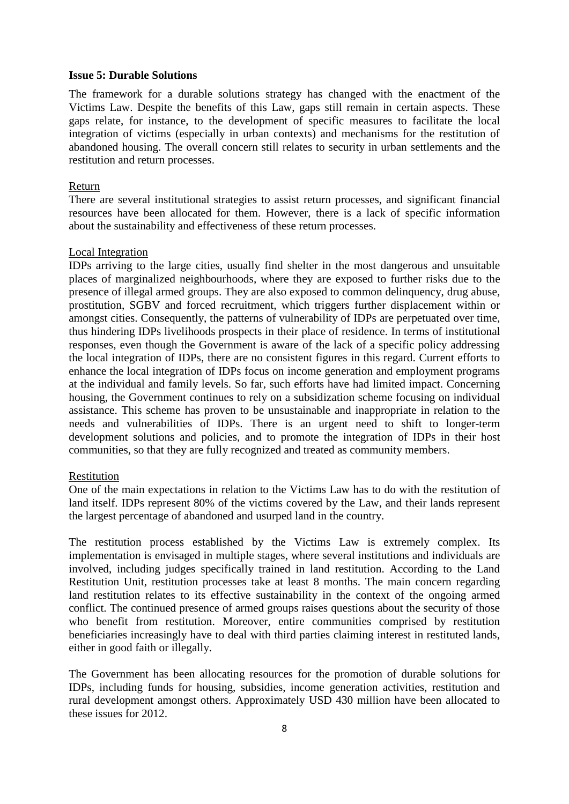#### **Issue 5: Durable Solutions**

The framework for a durable solutions strategy has changed with the enactment of the Victims Law. Despite the benefits of this Law, gaps still remain in certain aspects. These gaps relate, for instance, to the development of specific measures to facilitate the local integration of victims (especially in urban contexts) and mechanisms for the restitution of abandoned housing. The overall concern still relates to security in urban settlements and the restitution and return processes.

### Return

There are several institutional strategies to assist return processes, and significant financial resources have been allocated for them. However, there is a lack of specific information about the sustainability and effectiveness of these return processes.

## Local Integration

IDPs arriving to the large cities, usually find shelter in the most dangerous and unsuitable places of marginalized neighbourhoods, where they are exposed to further risks due to the presence of illegal armed groups. They are also exposed to common delinquency, drug abuse, prostitution, SGBV and forced recruitment, which triggers further displacement within or amongst cities. Consequently, the patterns of vulnerability of IDPs are perpetuated over time, thus hindering IDPs livelihoods prospects in their place of residence. In terms of institutional responses, even though the Government is aware of the lack of a specific policy addressing the local integration of IDPs, there are no consistent figures in this regard. Current efforts to enhance the local integration of IDPs focus on income generation and employment programs at the individual and family levels. So far, such efforts have had limited impact. Concerning housing, the Government continues to rely on a subsidization scheme focusing on individual assistance. This scheme has proven to be unsustainable and inappropriate in relation to the needs and vulnerabilities of IDPs. There is an urgent need to shift to longer-term development solutions and policies, and to promote the integration of IDPs in their host communities, so that they are fully recognized and treated as community members.

#### Restitution

One of the main expectations in relation to the Victims Law has to do with the restitution of land itself. IDPs represent 80% of the victims covered by the Law, and their lands represent the largest percentage of abandoned and usurped land in the country.

The restitution process established by the Victims Law is extremely complex. Its implementation is envisaged in multiple stages, where several institutions and individuals are involved, including judges specifically trained in land restitution. According to the Land Restitution Unit, restitution processes take at least 8 months. The main concern regarding land restitution relates to its effective sustainability in the context of the ongoing armed conflict. The continued presence of armed groups raises questions about the security of those who benefit from restitution. Moreover, entire communities comprised by restitution beneficiaries increasingly have to deal with third parties claiming interest in restituted lands, either in good faith or illegally.

The Government has been allocating resources for the promotion of durable solutions for IDPs, including funds for housing, subsidies, income generation activities, restitution and rural development amongst others. Approximately USD 430 million have been allocated to these issues for 2012.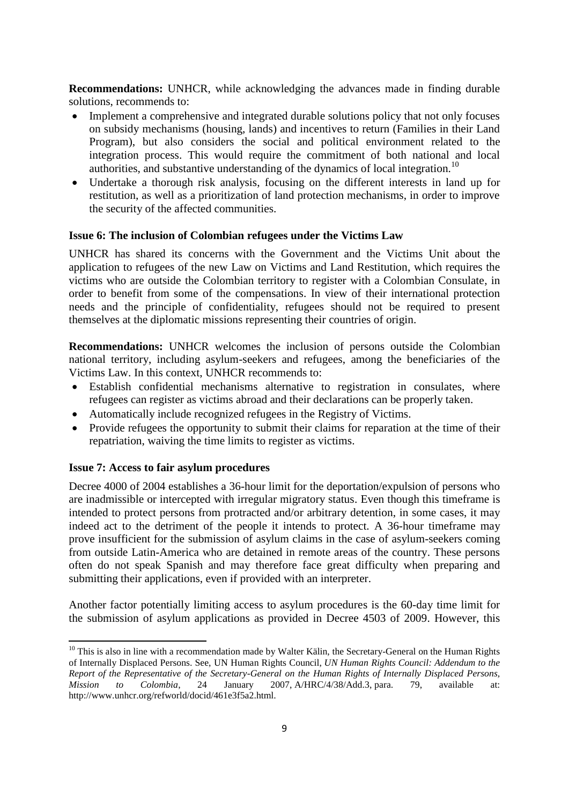**Recommendations:** UNHCR, while acknowledging the advances made in finding durable solutions, recommends to:

- Implement a comprehensive and integrated durable solutions policy that not only focuses on subsidy mechanisms (housing, lands) and incentives to return (Families in their Land Program), but also considers the social and political environment related to the integration process. This would require the commitment of both national and local authorities, and substantive understanding of the dynamics of local integration.<sup>10</sup>
- Undertake a thorough risk analysis, focusing on the different interests in land up for restitution, as well as a prioritization of land protection mechanisms, in order to improve the security of the affected communities.

### **Issue 6: The inclusion of Colombian refugees under the Victims Law**

UNHCR has shared its concerns with the Government and the Victims Unit about the application to refugees of the new Law on Victims and Land Restitution, which requires the victims who are outside the Colombian territory to register with a Colombian Consulate, in order to benefit from some of the compensations. In view of their international protection needs and the principle of confidentiality, refugees should not be required to present themselves at the diplomatic missions representing their countries of origin.

**Recommendations:** UNHCR welcomes the inclusion of persons outside the Colombian national territory, including asylum-seekers and refugees, among the beneficiaries of the Victims Law. In this context, UNHCR recommends to:

- Establish confidential mechanisms alternative to registration in consulates, where refugees can register as victims abroad and their declarations can be properly taken.
- Automatically include recognized refugees in the Registry of Victims.
- Provide refugees the opportunity to submit their claims for reparation at the time of their repatriation, waiving the time limits to register as victims.

## **Issue 7: Access to fair asylum procedures**

**.** 

Decree 4000 of 2004 establishes a 36-hour limit for the deportation/expulsion of persons who are inadmissible or intercepted with irregular migratory status. Even though this timeframe is intended to protect persons from protracted and/or arbitrary detention, in some cases, it may indeed act to the detriment of the people it intends to protect. A 36-hour timeframe may prove insufficient for the submission of asylum claims in the case of asylum-seekers coming from outside Latin-America who are detained in remote areas of the country. These persons often do not speak Spanish and may therefore face great difficulty when preparing and submitting their applications, even if provided with an interpreter.

Another factor potentially limiting access to asylum procedures is the 60-day time limit for the submission of asylum applications as provided in Decree 4503 of 2009. However, this

<sup>&</sup>lt;sup>10</sup> This is also in line with a recommendation made by Walter Kälin, the Secretary-General on the Human Rights of Internally Displaced Persons. See, UN Human Rights Council, *UN Human Rights Council: Addendum to the Report of the Representative of the Secretary-General on the Human Rights of Internally Displaced Persons, Mission to Colombia*, 24 January 2007, A/HRC/4/38/Add.3, para. 79, available at: http://www.unhcr.org/refworld/docid/461e3f5a2.html.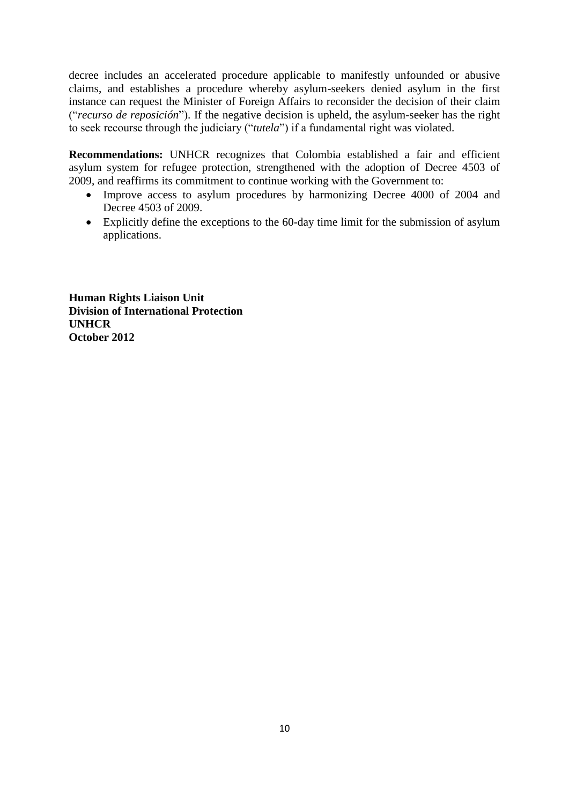decree includes an accelerated procedure applicable to manifestly unfounded or abusive claims, and establishes a procedure whereby asylum-seekers denied asylum in the first instance can request the Minister of Foreign Affairs to reconsider the decision of their claim (―*recurso de reposición*‖). If the negative decision is upheld, the asylum-seeker has the right to seek recourse through the judiciary ("tutela") if a fundamental right was violated.

**Recommendations:** UNHCR recognizes that Colombia established a fair and efficient asylum system for refugee protection, strengthened with the adoption of Decree 4503 of 2009, and reaffirms its commitment to continue working with the Government to:

- Improve access to asylum procedures by harmonizing Decree 4000 of 2004 and Decree 4503 of 2009.
- Explicitly define the exceptions to the 60-day time limit for the submission of asylum applications.

**Human Rights Liaison Unit Division of International Protection UNHCR October 2012**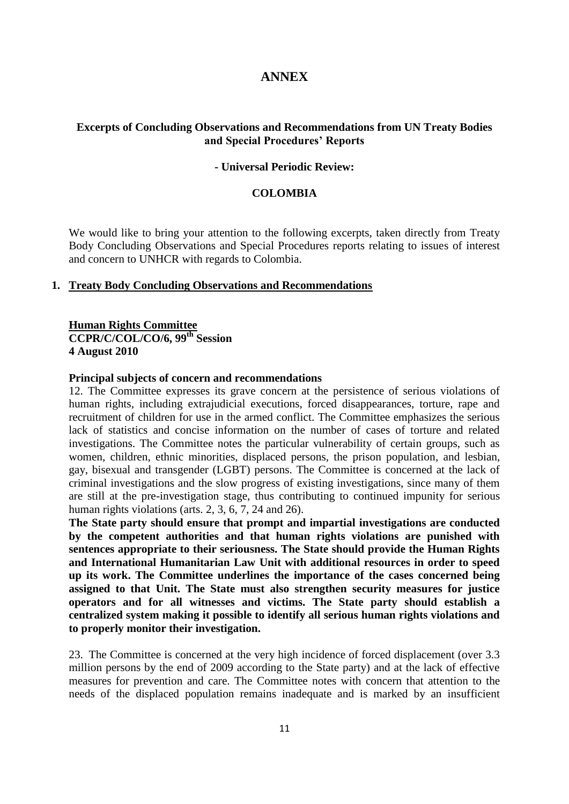# **ANNEX**

# **Excerpts of Concluding Observations and Recommendations from UN Treaty Bodies and Special Procedures' Reports**

#### **- Universal Periodic Review:**

#### **COLOMBIA**

We would like to bring your attention to the following excerpts, taken directly from Treaty Body Concluding Observations and Special Procedures reports relating to issues of interest and concern to UNHCR with regards to Colombia.

## **1. Treaty Body Concluding Observations and Recommendations**

# **Human Rights Committee CCPR/C/COL/CO/6, 99th Session 4 August 2010**

#### **Principal subjects of concern and recommendations**

12. The Committee expresses its grave concern at the persistence of serious violations of human rights, including extrajudicial executions, forced disappearances, torture, rape and recruitment of children for use in the armed conflict. The Committee emphasizes the serious lack of statistics and concise information on the number of cases of torture and related investigations. The Committee notes the particular vulnerability of certain groups, such as women, children, ethnic minorities, displaced persons, the prison population, and lesbian, gay, bisexual and transgender (LGBT) persons. The Committee is concerned at the lack of criminal investigations and the slow progress of existing investigations, since many of them are still at the pre-investigation stage, thus contributing to continued impunity for serious human rights violations (arts. 2, 3, 6, 7, 24 and 26).

**The State party should ensure that prompt and impartial investigations are conducted by the competent authorities and that human rights violations are punished with sentences appropriate to their seriousness. The State should provide the Human Rights and International Humanitarian Law Unit with additional resources in order to speed up its work. The Committee underlines the importance of the cases concerned being assigned to that Unit. The State must also strengthen security measures for justice operators and for all witnesses and victims. The State party should establish a centralized system making it possible to identify all serious human rights violations and to properly monitor their investigation.**

23. The Committee is concerned at the very high incidence of forced displacement (over 3.3 million persons by the end of 2009 according to the State party) and at the lack of effective measures for prevention and care. The Committee notes with concern that attention to the needs of the displaced population remains inadequate and is marked by an insufficient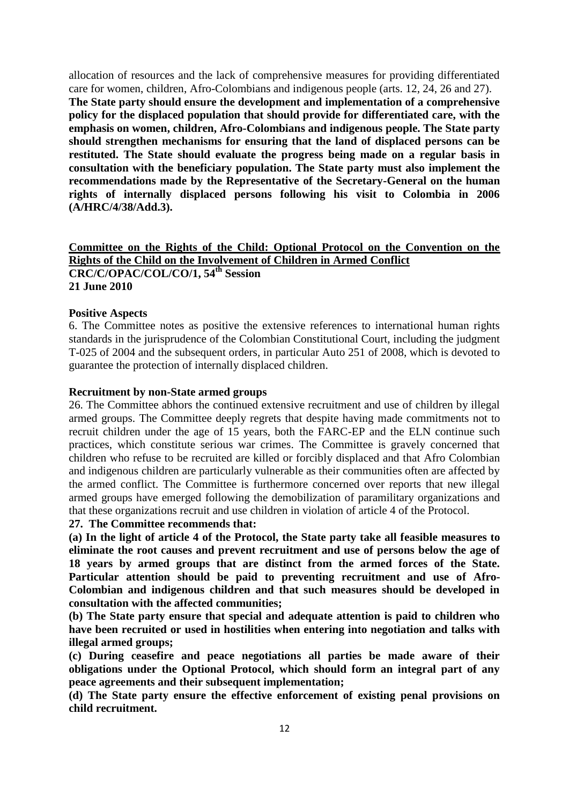allocation of resources and the lack of comprehensive measures for providing differentiated care for women, children, Afro-Colombians and indigenous people (arts. 12, 24, 26 and 27). **The State party should ensure the development and implementation of a comprehensive policy for the displaced population that should provide for differentiated care, with the emphasis on women, children, Afro-Colombians and indigenous people. The State party should strengthen mechanisms for ensuring that the land of displaced persons can be restituted. The State should evaluate the progress being made on a regular basis in consultation with the beneficiary population. The State party must also implement the recommendations made by the Representative of the Secretary-General on the human rights of internally displaced persons following his visit to Colombia in 2006 (A/HRC/4/38/Add.3).**

# **Committee on the Rights of the Child: Optional Protocol on the Convention on the Rights of the Child on the Involvement of Children in Armed Conflict CRC/C/OPAC/COL/CO/1, 54th Session 21 June 2010**

#### **Positive Aspects**

6. The Committee notes as positive the extensive references to international human rights standards in the jurisprudence of the Colombian Constitutional Court, including the judgment T-025 of 2004 and the subsequent orders, in particular Auto 251 of 2008, which is devoted to guarantee the protection of internally displaced children.

## **Recruitment by non-State armed groups**

26. The Committee abhors the continued extensive recruitment and use of children by illegal armed groups. The Committee deeply regrets that despite having made commitments not to recruit children under the age of 15 years, both the FARC-EP and the ELN continue such practices, which constitute serious war crimes. The Committee is gravely concerned that children who refuse to be recruited are killed or forcibly displaced and that Afro Colombian and indigenous children are particularly vulnerable as their communities often are affected by the armed conflict. The Committee is furthermore concerned over reports that new illegal armed groups have emerged following the demobilization of paramilitary organizations and that these organizations recruit and use children in violation of article 4 of the Protocol.

#### **27. The Committee recommends that:**

**(a) In the light of article 4 of the Protocol, the State party take all feasible measures to eliminate the root causes and prevent recruitment and use of persons below the age of 18 years by armed groups that are distinct from the armed forces of the State. Particular attention should be paid to preventing recruitment and use of Afro-Colombian and indigenous children and that such measures should be developed in consultation with the affected communities;**

**(b) The State party ensure that special and adequate attention is paid to children who have been recruited or used in hostilities when entering into negotiation and talks with illegal armed groups;** 

**(c) During ceasefire and peace negotiations all parties be made aware of their obligations under the Optional Protocol, which should form an integral part of any peace agreements and their subsequent implementation;** 

**(d) The State party ensure the effective enforcement of existing penal provisions on child recruitment.**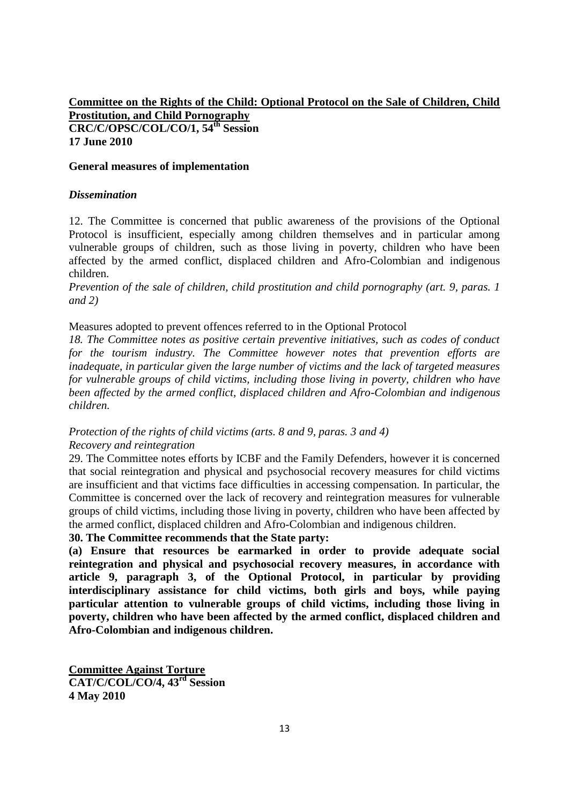# **Committee on the Rights of the Child: Optional Protocol on the Sale of Children, Child Prostitution, and Child Pornography CRC/C/OPSC/COL/CO/1, 54th Session 17 June 2010**

## **General measures of implementation**

## *Dissemination*

12. The Committee is concerned that public awareness of the provisions of the Optional Protocol is insufficient, especially among children themselves and in particular among vulnerable groups of children, such as those living in poverty, children who have been affected by the armed conflict, displaced children and Afro-Colombian and indigenous children.

*Prevention of the sale of children, child prostitution and child pornography (art. 9, paras. 1 and 2)*

Measures adopted to prevent offences referred to in the Optional Protocol

*18. The Committee notes as positive certain preventive initiatives, such as codes of conduct for the tourism industry. The Committee however notes that prevention efforts are inadequate, in particular given the large number of victims and the lack of targeted measures for vulnerable groups of child victims, including those living in poverty, children who have been affected by the armed conflict, displaced children and Afro-Colombian and indigenous children.*

## *Protection of the rights of child victims (arts. 8 and 9, paras. 3 and 4) Recovery and reintegration*

29. The Committee notes efforts by ICBF and the Family Defenders, however it is concerned that social reintegration and physical and psychosocial recovery measures for child victims are insufficient and that victims face difficulties in accessing compensation. In particular, the Committee is concerned over the lack of recovery and reintegration measures for vulnerable groups of child victims, including those living in poverty, children who have been affected by the armed conflict, displaced children and Afro-Colombian and indigenous children.

# **30. The Committee recommends that the State party:**

**(a) Ensure that resources be earmarked in order to provide adequate social reintegration and physical and psychosocial recovery measures, in accordance with article 9, paragraph 3, of the Optional Protocol, in particular by providing interdisciplinary assistance for child victims, both girls and boys, while paying particular attention to vulnerable groups of child victims, including those living in poverty, children who have been affected by the armed conflict, displaced children and Afro-Colombian and indigenous children.**

**Committee Against Torture CAT/C/COL/CO/4, 43rd Session 4 May 2010**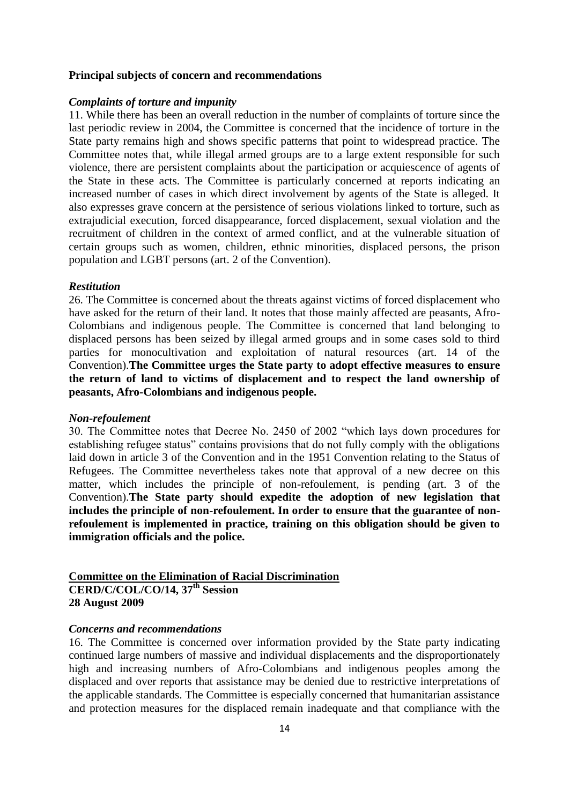#### **Principal subjects of concern and recommendations**

#### *Complaints of torture and impunity*

11. While there has been an overall reduction in the number of complaints of torture since the last periodic review in 2004, the Committee is concerned that the incidence of torture in the State party remains high and shows specific patterns that point to widespread practice. The Committee notes that, while illegal armed groups are to a large extent responsible for such violence, there are persistent complaints about the participation or acquiescence of agents of the State in these acts. The Committee is particularly concerned at reports indicating an increased number of cases in which direct involvement by agents of the State is alleged. It also expresses grave concern at the persistence of serious violations linked to torture, such as extrajudicial execution, forced disappearance, forced displacement, sexual violation and the recruitment of children in the context of armed conflict, and at the vulnerable situation of certain groups such as women, children, ethnic minorities, displaced persons, the prison population and LGBT persons (art. 2 of the Convention).

#### *Restitution*

26. The Committee is concerned about the threats against victims of forced displacement who have asked for the return of their land. It notes that those mainly affected are peasants, Afro-Colombians and indigenous people. The Committee is concerned that land belonging to displaced persons has been seized by illegal armed groups and in some cases sold to third parties for monocultivation and exploitation of natural resources (art. 14 of the Convention).**The Committee urges the State party to adopt effective measures to ensure the return of land to victims of displacement and to respect the land ownership of peasants, Afro-Colombians and indigenous people.**

#### *Non-refoulement*

30. The Committee notes that Decree No. 2450 of 2002 "which lays down procedures for establishing refugee status" contains provisions that do not fully comply with the obligations laid down in article 3 of the Convention and in the 1951 Convention relating to the Status of Refugees. The Committee nevertheless takes note that approval of a new decree on this matter, which includes the principle of non-refoulement, is pending (art. 3 of the Convention).**The State party should expedite the adoption of new legislation that includes the principle of non-refoulement. In order to ensure that the guarantee of nonrefoulement is implemented in practice, training on this obligation should be given to immigration officials and the police.**

# **Committee on the Elimination of Racial Discrimination CERD/C/COL/CO/14, 37th Session 28 August 2009**

#### *Concerns and recommendations*

16. The Committee is concerned over information provided by the State party indicating continued large numbers of massive and individual displacements and the disproportionately high and increasing numbers of Afro-Colombians and indigenous peoples among the displaced and over reports that assistance may be denied due to restrictive interpretations of the applicable standards. The Committee is especially concerned that humanitarian assistance and protection measures for the displaced remain inadequate and that compliance with the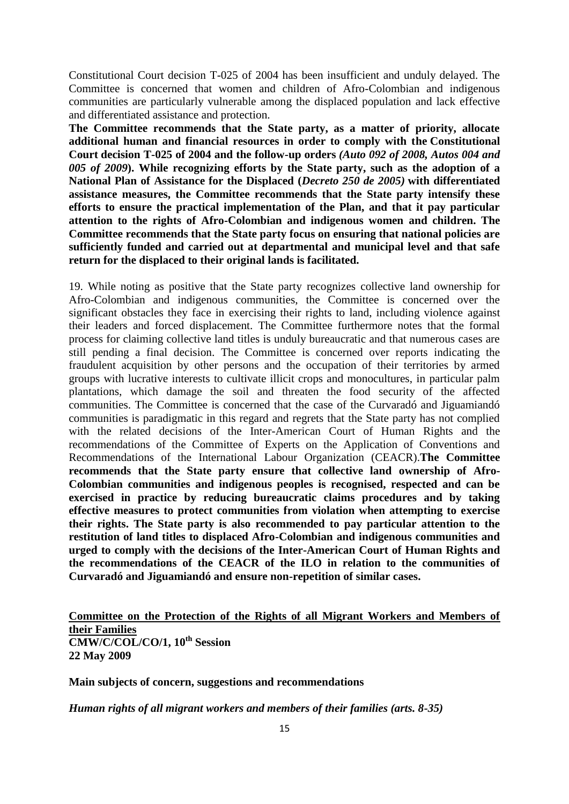Constitutional Court decision T-025 of 2004 has been insufficient and unduly delayed. The Committee is concerned that women and children of Afro-Colombian and indigenous communities are particularly vulnerable among the displaced population and lack effective and differentiated assistance and protection.

**The Committee recommends that the State party, as a matter of priority, allocate additional human and financial resources in order to comply with the Constitutional Court decision T-025 of 2004 and the follow-up orders** *(Auto 092 of 2008, Autos 004 and 005 of 2009***). While recognizing efforts by the State party, such as the adoption of a National Plan of Assistance for the Displaced (***Decreto 250 de 2005)* **with differentiated assistance measures, the Committee recommends that the State party intensify these efforts to ensure the practical implementation of the Plan, and that it pay particular attention to the rights of Afro-Colombian and indigenous women and children. The Committee recommends that the State party focus on ensuring that national policies are sufficiently funded and carried out at departmental and municipal level and that safe return for the displaced to their original lands is facilitated.**

19. While noting as positive that the State party recognizes collective land ownership for Afro-Colombian and indigenous communities, the Committee is concerned over the significant obstacles they face in exercising their rights to land, including violence against their leaders and forced displacement. The Committee furthermore notes that the formal process for claiming collective land titles is unduly bureaucratic and that numerous cases are still pending a final decision. The Committee is concerned over reports indicating the fraudulent acquisition by other persons and the occupation of their territories by armed groups with lucrative interests to cultivate illicit crops and monocultures, in particular palm plantations, which damage the soil and threaten the food security of the affected communities. The Committee is concerned that the case of the Curvaradó and Jiguamiandó communities is paradigmatic in this regard and regrets that the State party has not complied with the related decisions of the Inter-American Court of Human Rights and the recommendations of the Committee of Experts on the Application of Conventions and Recommendations of the International Labour Organization (CEACR).**The Committee recommends that the State party ensure that collective land ownership of Afro-Colombian communities and indigenous peoples is recognised, respected and can be exercised in practice by reducing bureaucratic claims procedures and by taking effective measures to protect communities from violation when attempting to exercise their rights. The State party is also recommended to pay particular attention to the restitution of land titles to displaced Afro-Colombian and indigenous communities and urged to comply with the decisions of the Inter-American Court of Human Rights and the recommendations of the CEACR of the ILO in relation to the communities of Curvaradó and Jiguamiandó and ensure non-repetition of similar cases.**

# **Committee on the Protection of the Rights of all Migrant Workers and Members of their Families CMW/C/COL/CO/1, 10th Session 22 May 2009**

**Main subjects of concern, suggestions and recommendations**

*Human rights of all migrant workers and members of their families (arts. 8-35)*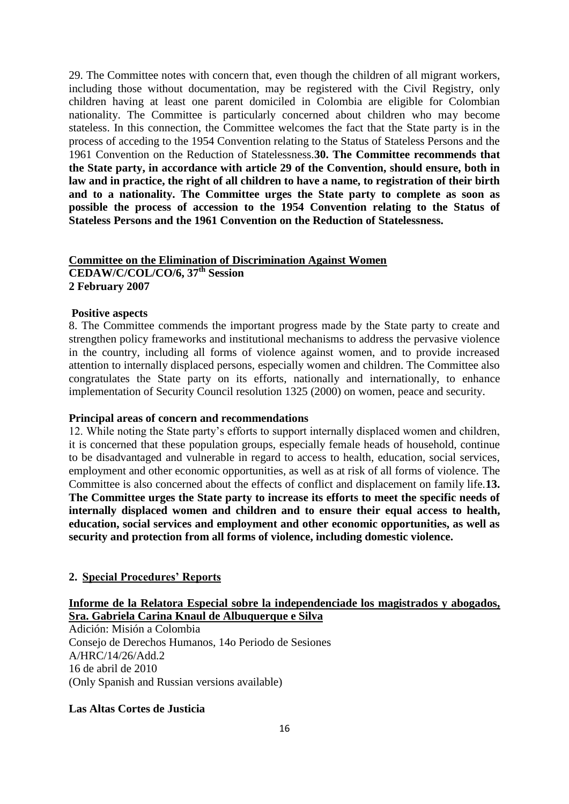29. The Committee notes with concern that, even though the children of all migrant workers, including those without documentation, may be registered with the Civil Registry, only children having at least one parent domiciled in Colombia are eligible for Colombian nationality. The Committee is particularly concerned about children who may become stateless. In this connection, the Committee welcomes the fact that the State party is in the process of acceding to the 1954 Convention relating to the Status of Stateless Persons and the 1961 Convention on the Reduction of Statelessness.**30. The Committee recommends that the State party, in accordance with article 29 of the Convention, should ensure, both in law and in practice, the right of all children to have a name, to registration of their birth and to a nationality. The Committee urges the State party to complete as soon as possible the process of accession to the 1954 Convention relating to the Status of Stateless Persons and the 1961 Convention on the Reduction of Statelessness.**

# **Committee on the Elimination of Discrimination Against Women CEDAW/C/COL/CO/6, 37th Session 2 February 2007**

#### **Positive aspects**

8. The Committee commends the important progress made by the State party to create and strengthen policy frameworks and institutional mechanisms to address the pervasive violence in the country, including all forms of violence against women, and to provide increased attention to internally displaced persons, especially women and children. The Committee also congratulates the State party on its efforts, nationally and internationally, to enhance implementation of Security Council resolution 1325 (2000) on women, peace and security.

#### **Principal areas of concern and recommendations**

12. While noting the State party's efforts to support internally displaced women and children, it is concerned that these population groups, especially female heads of household, continue to be disadvantaged and vulnerable in regard to access to health, education, social services, employment and other economic opportunities, as well as at risk of all forms of violence. The Committee is also concerned about the effects of conflict and displacement on family life.**13. The Committee urges the State party to increase its efforts to meet the specific needs of internally displaced women and children and to ensure their equal access to health, education, social services and employment and other economic opportunities, as well as security and protection from all forms of violence, including domestic violence.**

## **2. Special Procedures' Reports**

# **Informe de la Relatora Especial sobre la independenciade los magistrados y abogados, Sra. Gabriela Carina Knaul de Albuquerque e Silva**

Adición: Misión a Colombia Consejo de Derechos Humanos, 14o Periodo de Sesiones A/HRC/14/26/Add.2 16 de abril de 2010 (Only Spanish and Russian versions available)

# **Las Altas Cortes de Justicia**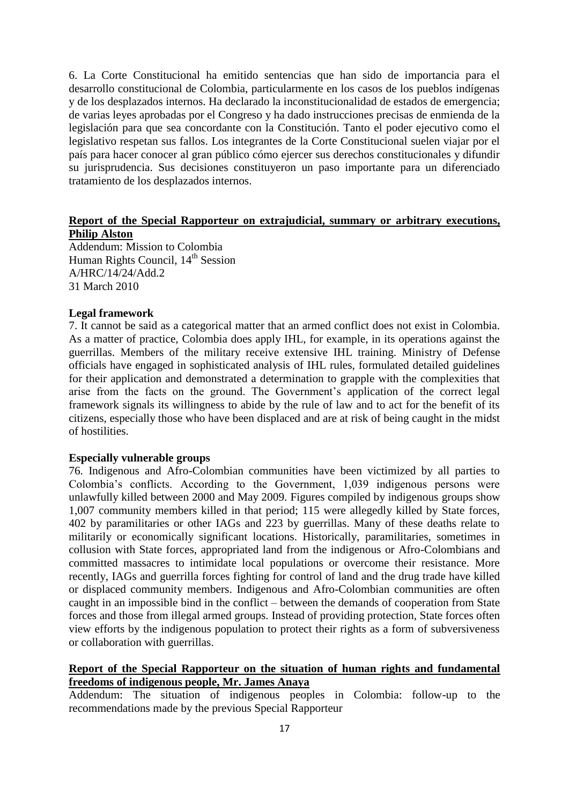6. La Corte Constitucional ha emitido sentencias que han sido de importancia para el desarrollo constitucional de Colombia, particularmente en los casos de los pueblos indígenas y de los desplazados internos. Ha declarado la inconstitucionalidad de estados de emergencia; de varias leyes aprobadas por el Congreso y ha dado instrucciones precisas de enmienda de la legislación para que sea concordante con la Constitución. Tanto el poder ejecutivo como el legislativo respetan sus fallos. Los integrantes de la Corte Constitucional suelen viajar por el país para hacer conocer al gran público cómo ejercer sus derechos constitucionales y difundir su jurisprudencia. Sus decisiones constituyeron un paso importante para un diferenciado tratamiento de los desplazados internos.

# **Report of the Special Rapporteur on extrajudicial, summary or arbitrary executions, Philip Alston**

Addendum: Mission to Colombia Human Rights Council, 14<sup>th</sup> Session A/HRC/14/24/Add.2 31 March 2010

#### **Legal framework**

7. It cannot be said as a categorical matter that an armed conflict does not exist in Colombia. As a matter of practice, Colombia does apply IHL, for example, in its operations against the guerrillas. Members of the military receive extensive IHL training. Ministry of Defense officials have engaged in sophisticated analysis of IHL rules, formulated detailed guidelines for their application and demonstrated a determination to grapple with the complexities that arise from the facts on the ground. The Government's application of the correct legal framework signals its willingness to abide by the rule of law and to act for the benefit of its citizens, especially those who have been displaced and are at risk of being caught in the midst of hostilities.

#### **Especially vulnerable groups**

76. Indigenous and Afro-Colombian communities have been victimized by all parties to Colombia's conflicts. According to the Government, 1,039 indigenous persons were unlawfully killed between 2000 and May 2009. Figures compiled by indigenous groups show 1,007 community members killed in that period; 115 were allegedly killed by State forces, 402 by paramilitaries or other IAGs and 223 by guerrillas. Many of these deaths relate to militarily or economically significant locations. Historically, paramilitaries, sometimes in collusion with State forces, appropriated land from the indigenous or Afro-Colombians and committed massacres to intimidate local populations or overcome their resistance. More recently, IAGs and guerrilla forces fighting for control of land and the drug trade have killed or displaced community members. Indigenous and Afro-Colombian communities are often caught in an impossible bind in the conflict – between the demands of cooperation from State forces and those from illegal armed groups. Instead of providing protection, State forces often view efforts by the indigenous population to protect their rights as a form of subversiveness or collaboration with guerrillas.

# **Report of the Special Rapporteur on the situation of human rights and fundamental freedoms of indigenous people, Mr. James Anaya**

Addendum: The situation of indigenous peoples in Colombia: follow-up to the recommendations made by the previous Special Rapporteur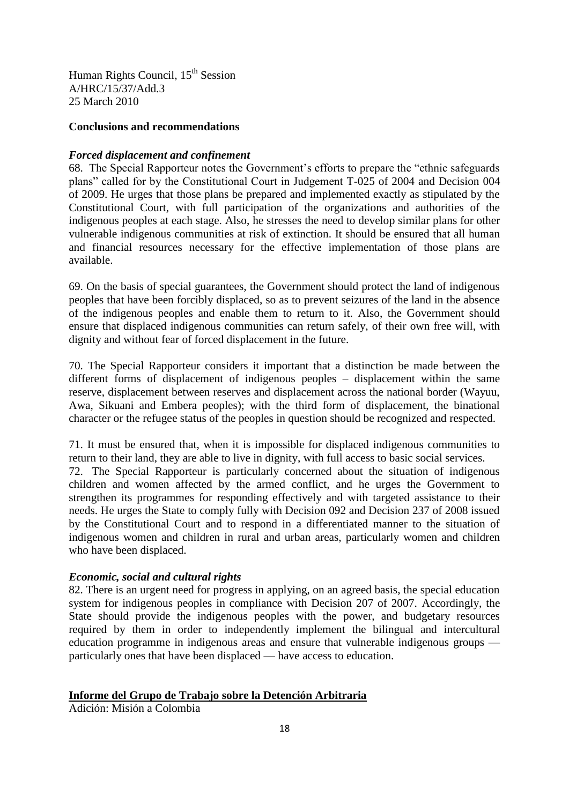Human Rights Council, 15<sup>th</sup> Session A/HRC/15/37/Add.3 25 March 2010

### **Conclusions and recommendations**

## *Forced displacement and confinement*

68. The Special Rapporteur notes the Government's efforts to prepare the "ethnic safeguards" plans" called for by the Constitutional Court in Judgement T-025 of 2004 and Decision 004 of 2009. He urges that those plans be prepared and implemented exactly as stipulated by the Constitutional Court, with full participation of the organizations and authorities of the indigenous peoples at each stage. Also, he stresses the need to develop similar plans for other vulnerable indigenous communities at risk of extinction. It should be ensured that all human and financial resources necessary for the effective implementation of those plans are available.

69. On the basis of special guarantees, the Government should protect the land of indigenous peoples that have been forcibly displaced, so as to prevent seizures of the land in the absence of the indigenous peoples and enable them to return to it. Also, the Government should ensure that displaced indigenous communities can return safely, of their own free will, with dignity and without fear of forced displacement in the future.

70. The Special Rapporteur considers it important that a distinction be made between the different forms of displacement of indigenous peoples – displacement within the same reserve, displacement between reserves and displacement across the national border (Wayuu, Awa, Sikuani and Embera peoples); with the third form of displacement, the binational character or the refugee status of the peoples in question should be recognized and respected.

71. It must be ensured that, when it is impossible for displaced indigenous communities to return to their land, they are able to live in dignity, with full access to basic social services. 72. The Special Rapporteur is particularly concerned about the situation of indigenous children and women affected by the armed conflict, and he urges the Government to strengthen its programmes for responding effectively and with targeted assistance to their needs. He urges the State to comply fully with Decision 092 and Decision 237 of 2008 issued by the Constitutional Court and to respond in a differentiated manner to the situation of indigenous women and children in rural and urban areas, particularly women and children who have been displaced.

# *Economic, social and cultural rights*

82. There is an urgent need for progress in applying, on an agreed basis, the special education system for indigenous peoples in compliance with Decision 207 of 2007. Accordingly, the State should provide the indigenous peoples with the power, and budgetary resources required by them in order to independently implement the bilingual and intercultural education programme in indigenous areas and ensure that vulnerable indigenous groups particularly ones that have been displaced — have access to education.

### **Informe del Grupo de Trabajo sobre la Detención Arbitraria**

Adición: Misión a Colombia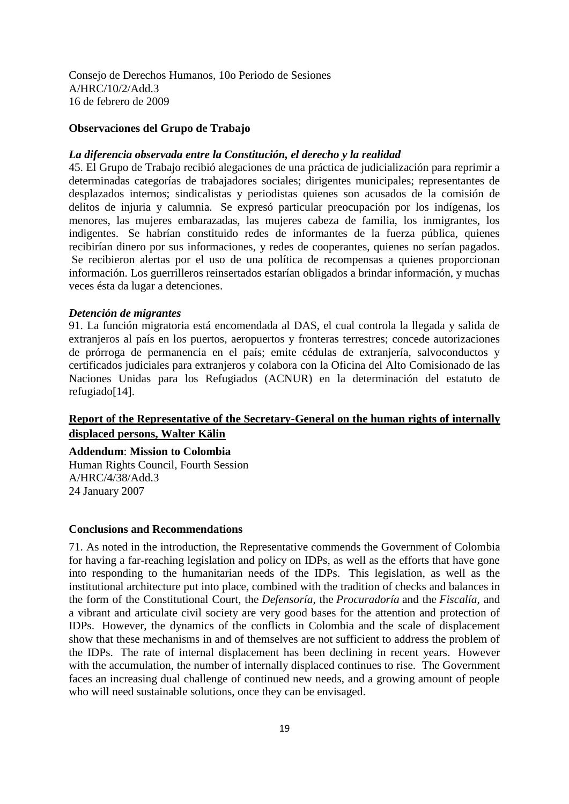Consejo de Derechos Humanos, 10o Periodo de Sesiones A/HRC/10/2/Add.3 16 de febrero de 2009

#### **Observaciones del Grupo de Trabajo**

#### *La diferencia observada entre la Constitución, el derecho y la realidad*

45. El Grupo de Trabajo recibió alegaciones de una práctica de judicialización para reprimir a determinadas categorías de trabajadores sociales; dirigentes municipales; representantes de desplazados internos; sindicalistas y periodistas quienes son acusados de la comisión de delitos de injuria y calumnia. Se expresó particular preocupación por los indígenas, los menores, las mujeres embarazadas, las mujeres cabeza de familia, los inmigrantes, los indigentes. Se habrían constituido redes de informantes de la fuerza pública, quienes recibirían dinero por sus informaciones, y redes de cooperantes, quienes no serían pagados. Se recibieron alertas por el uso de una política de recompensas a quienes proporcionan información. Los guerrilleros reinsertados estarían obligados a brindar información, y muchas veces ésta da lugar a detenciones.

#### *Detención de migrantes*

91. La función migratoria está encomendada al DAS, el cual controla la llegada y salida de extranjeros al país en los puertos, aeropuertos y fronteras terrestres; concede autorizaciones de prórroga de permanencia en el país; emite cédulas de extranjería, salvoconductos y certificados judiciales para extranjeros y colabora con la Oficina del Alto Comisionado de las Naciones Unidas para los Refugiados (ACNUR) en la determinación del estatuto de refugiado[14].

# **Report of the Representative of the Secretary-General on the human rights of internally displaced persons, Walter Kälin**

**Addendum**: **Mission to Colombia** Human Rights Council, Fourth Session

A/HRC/4/38/Add.3 24 January 2007

### **Conclusions and Recommendations**

71. As noted in the introduction, the Representative commends the Government of Colombia for having a far-reaching legislation and policy on IDPs, as well as the efforts that have gone into responding to the humanitarian needs of the IDPs. This legislation, as well as the institutional architecture put into place, combined with the tradition of checks and balances in the form of the Constitutional Court, the *Defensoría*, the *Procuradoría* and the *Fiscalía*, and a vibrant and articulate civil society are very good bases for the attention and protection of IDPs. However, the dynamics of the conflicts in Colombia and the scale of displacement show that these mechanisms in and of themselves are not sufficient to address the problem of the IDPs. The rate of internal displacement has been declining in recent years. However with the accumulation, the number of internally displaced continues to rise. The Government faces an increasing dual challenge of continued new needs, and a growing amount of people who will need sustainable solutions, once they can be envisaged.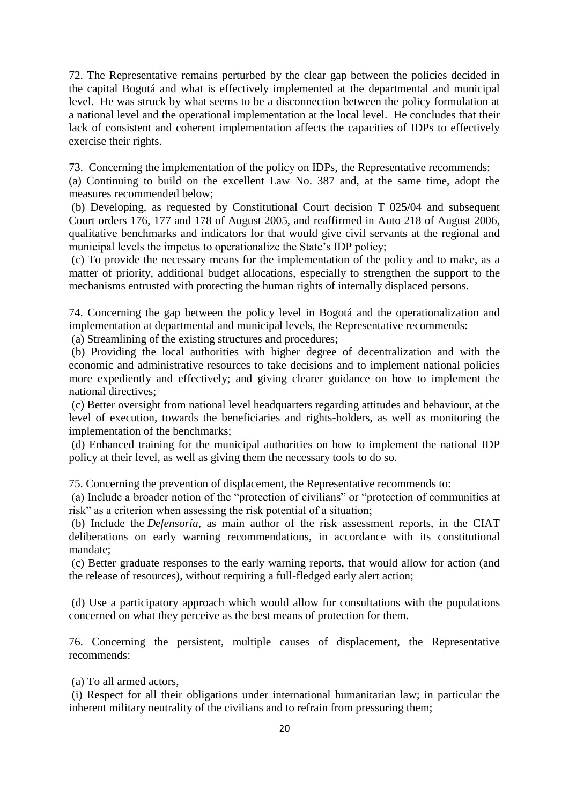72. The Representative remains perturbed by the clear gap between the policies decided in the capital Bogotá and what is effectively implemented at the departmental and municipal level. He was struck by what seems to be a disconnection between the policy formulation at a national level and the operational implementation at the local level. He concludes that their lack of consistent and coherent implementation affects the capacities of IDPs to effectively exercise their rights.

73. Concerning the implementation of the policy on IDPs, the Representative recommends:

(a) Continuing to build on the excellent Law No. 387 and, at the same time, adopt the measures recommended below;

(b) Developing, as requested by Constitutional Court decision T 025/04 and subsequent Court orders 176, 177 and 178 of August 2005, and reaffirmed in Auto 218 of August 2006, qualitative benchmarks and indicators for that would give civil servants at the regional and municipal levels the impetus to operationalize the State's IDP policy;

(c) To provide the necessary means for the implementation of the policy and to make, as a matter of priority, additional budget allocations, especially to strengthen the support to the mechanisms entrusted with protecting the human rights of internally displaced persons.

74. Concerning the gap between the policy level in Bogotá and the operationalization and implementation at departmental and municipal levels, the Representative recommends:

(a) Streamlining of the existing structures and procedures;

(b) Providing the local authorities with higher degree of decentralization and with the economic and administrative resources to take decisions and to implement national policies more expediently and effectively; and giving clearer guidance on how to implement the national directives;

(c) Better oversight from national level headquarters regarding attitudes and behaviour, at the level of execution, towards the beneficiaries and rights-holders, as well as monitoring the implementation of the benchmarks;

(d) Enhanced training for the municipal authorities on how to implement the national IDP policy at their level, as well as giving them the necessary tools to do so.

75. Concerning the prevention of displacement, the Representative recommends to:

(a) Include a broader notion of the "protection of civilians" or "protection of communities at risk" as a criterion when assessing the risk potential of a situation;

(b) Include the *Defensoría*, as main author of the risk assessment reports, in the CIAT deliberations on early warning recommendations, in accordance with its constitutional mandate;

(c) Better graduate responses to the early warning reports, that would allow for action (and the release of resources), without requiring a full-fledged early alert action;

(d) Use a participatory approach which would allow for consultations with the populations concerned on what they perceive as the best means of protection for them.

76. Concerning the persistent, multiple causes of displacement, the Representative recommends:

(a) To all armed actors,

(i) Respect for all their obligations under international humanitarian law; in particular the inherent military neutrality of the civilians and to refrain from pressuring them;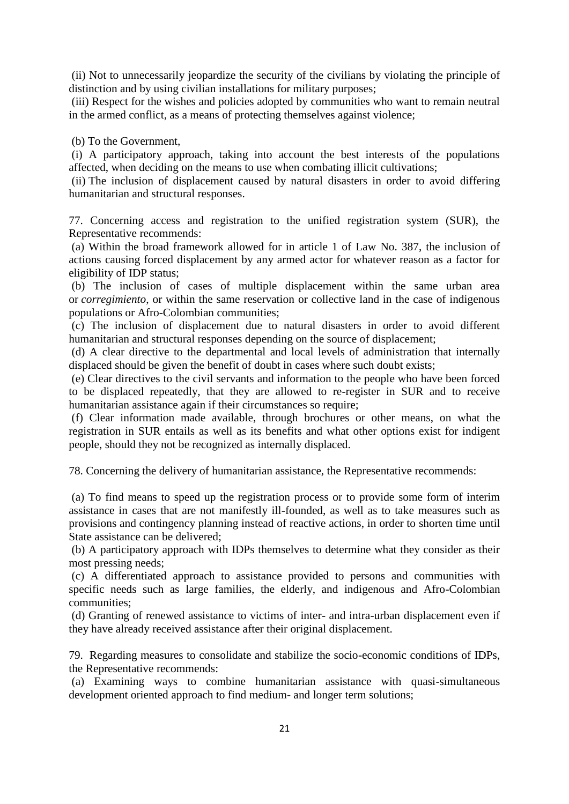(ii) Not to unnecessarily jeopardize the security of the civilians by violating the principle of distinction and by using civilian installations for military purposes;

(iii) Respect for the wishes and policies adopted by communities who want to remain neutral in the armed conflict, as a means of protecting themselves against violence;

(b) To the Government,

(i) A participatory approach, taking into account the best interests of the populations affected, when deciding on the means to use when combating illicit cultivations;

(ii) The inclusion of displacement caused by natural disasters in order to avoid differing humanitarian and structural responses.

77. Concerning access and registration to the unified registration system (SUR), the Representative recommends:

(a) Within the broad framework allowed for in article 1 of Law No. 387, the inclusion of actions causing forced displacement by any armed actor for whatever reason as a factor for eligibility of IDP status;

(b) The inclusion of cases of multiple displacement within the same urban area or *corregimiento*, or within the same reservation or collective land in the case of indigenous populations or Afro-Colombian communities;

(c) The inclusion of displacement due to natural disasters in order to avoid different humanitarian and structural responses depending on the source of displacement;

(d) A clear directive to the departmental and local levels of administration that internally displaced should be given the benefit of doubt in cases where such doubt exists;

(e) Clear directives to the civil servants and information to the people who have been forced to be displaced repeatedly, that they are allowed to re-register in SUR and to receive humanitarian assistance again if their circumstances so require;

(f) Clear information made available, through brochures or other means, on what the registration in SUR entails as well as its benefits and what other options exist for indigent people, should they not be recognized as internally displaced.

78. Concerning the delivery of humanitarian assistance, the Representative recommends:

(a) To find means to speed up the registration process or to provide some form of interim assistance in cases that are not manifestly ill-founded, as well as to take measures such as provisions and contingency planning instead of reactive actions, in order to shorten time until State assistance can be delivered;

(b) A participatory approach with IDPs themselves to determine what they consider as their most pressing needs;

(c) A differentiated approach to assistance provided to persons and communities with specific needs such as large families, the elderly, and indigenous and Afro-Colombian communities;

(d) Granting of renewed assistance to victims of inter- and intra-urban displacement even if they have already received assistance after their original displacement.

79. Regarding measures to consolidate and stabilize the socio-economic conditions of IDPs, the Representative recommends:

(a) Examining ways to combine humanitarian assistance with quasi-simultaneous development oriented approach to find medium- and longer term solutions;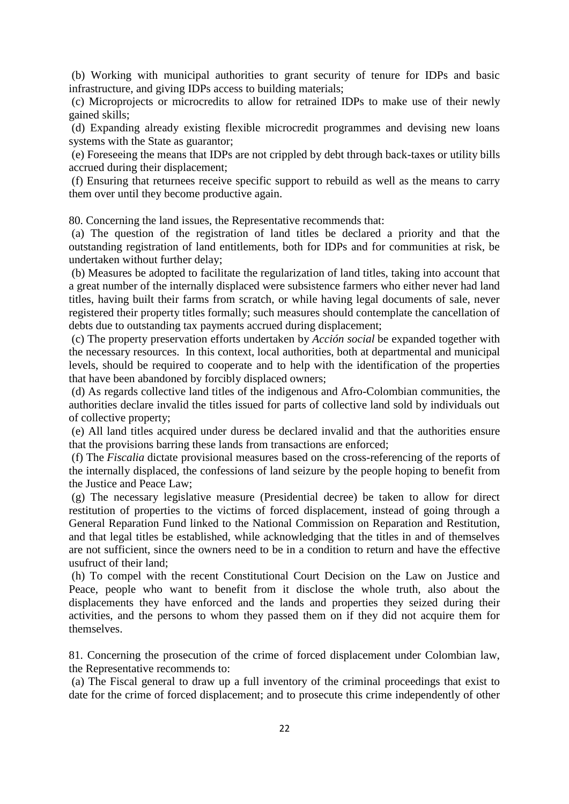(b) Working with municipal authorities to grant security of tenure for IDPs and basic infrastructure, and giving IDPs access to building materials;

(c) Microprojects or microcredits to allow for retrained IDPs to make use of their newly gained skills;

(d) Expanding already existing flexible microcredit programmes and devising new loans systems with the State as guarantor;

(e) Foreseeing the means that IDPs are not crippled by debt through back-taxes or utility bills accrued during their displacement;

(f) Ensuring that returnees receive specific support to rebuild as well as the means to carry them over until they become productive again.

80. Concerning the land issues, the Representative recommends that:

(a) The question of the registration of land titles be declared a priority and that the outstanding registration of land entitlements, both for IDPs and for communities at risk, be undertaken without further delay;

(b) Measures be adopted to facilitate the regularization of land titles, taking into account that a great number of the internally displaced were subsistence farmers who either never had land titles, having built their farms from scratch, or while having legal documents of sale, never registered their property titles formally; such measures should contemplate the cancellation of debts due to outstanding tax payments accrued during displacement;

(c) The property preservation efforts undertaken by *Acción social* be expanded together with the necessary resources. In this context, local authorities, both at departmental and municipal levels, should be required to cooperate and to help with the identification of the properties that have been abandoned by forcibly displaced owners;

(d) As regards collective land titles of the indigenous and Afro-Colombian communities, the authorities declare invalid the titles issued for parts of collective land sold by individuals out of collective property;

(e) All land titles acquired under duress be declared invalid and that the authorities ensure that the provisions barring these lands from transactions are enforced;

(f) The *Fiscalia* dictate provisional measures based on the cross-referencing of the reports of the internally displaced, the confessions of land seizure by the people hoping to benefit from the Justice and Peace Law;

(g) The necessary legislative measure (Presidential decree) be taken to allow for direct restitution of properties to the victims of forced displacement, instead of going through a General Reparation Fund linked to the National Commission on Reparation and Restitution, and that legal titles be established, while acknowledging that the titles in and of themselves are not sufficient, since the owners need to be in a condition to return and have the effective usufruct of their land;

(h) To compel with the recent Constitutional Court Decision on the Law on Justice and Peace, people who want to benefit from it disclose the whole truth, also about the displacements they have enforced and the lands and properties they seized during their activities, and the persons to whom they passed them on if they did not acquire them for themselves.

81. Concerning the prosecution of the crime of forced displacement under Colombian law, the Representative recommends to:

(a) The Fiscal general to draw up a full inventory of the criminal proceedings that exist to date for the crime of forced displacement; and to prosecute this crime independently of other